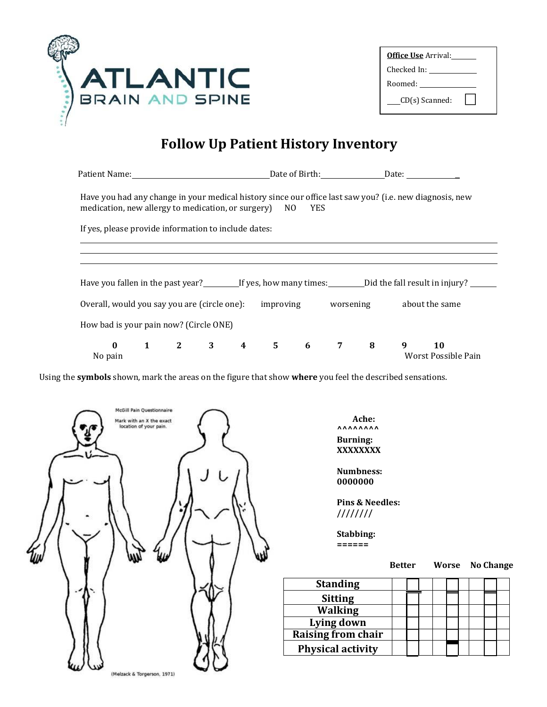

| <b>Office Use</b> Arrival: |  |  |  |  |  |
|----------------------------|--|--|--|--|--|
| Checked In:                |  |  |  |  |  |
| Roomed:                    |  |  |  |  |  |
| $CD(s)$ Scanned:           |  |  |  |  |  |

## **Follow Up Patient History Inventory**

| Patient Name: 1997 - 1997 - 1998 - 1999 - 1999 - 1999 - 1999 - 1999 - 1999 - 1999 - 1999 - 1999 - 1999 - 1999 - 1999 - 1999 - 1999 - 1999 - 1999 - 1999 - 1999 - 1999 - 1999 - 1999 - 1999 - 1999 - 1999 - 1999 - 1999 - 1999 |  |  |  |  |  |  |                                     | Date of Birth: Date: Date:                                                               |
|-------------------------------------------------------------------------------------------------------------------------------------------------------------------------------------------------------------------------------|--|--|--|--|--|--|-------------------------------------|------------------------------------------------------------------------------------------|
| Have you had any change in your medical history since our office last saw you? (i.e. new diagnosis, new<br>medication, new allergy to medication, or surgery) NO YES                                                          |  |  |  |  |  |  |                                     |                                                                                          |
| If yes, please provide information to include dates:                                                                                                                                                                          |  |  |  |  |  |  |                                     |                                                                                          |
|                                                                                                                                                                                                                               |  |  |  |  |  |  |                                     |                                                                                          |
|                                                                                                                                                                                                                               |  |  |  |  |  |  |                                     |                                                                                          |
|                                                                                                                                                                                                                               |  |  |  |  |  |  |                                     | Have you fallen in the past year? If yes, how many times: Did the fall result in injury? |
| Overall, would you say you are (circle one):                                                                                                                                                                                  |  |  |  |  |  |  |                                     | improving worsening about the same                                                       |
| How bad is your pain now? (Circle ONE)                                                                                                                                                                                        |  |  |  |  |  |  |                                     |                                                                                          |
| $\bf{0}$<br>No pain                                                                                                                                                                                                           |  |  |  |  |  |  | $1$ $2$ $3$ $4$ $5$ $6$ $7$ $8$ $9$ | <b>10</b><br>Worst Possible Pain                                                         |

Using the **symbols** shown, mark the areas on the figure that show **where** you feel the described sensations.

| <b>McGill Pain Questionnaire</b><br>Mark with an X the exact<br>location of your pain. |  |
|----------------------------------------------------------------------------------------|--|
|                                                                                        |  |
|                                                                                        |  |
|                                                                                        |  |
| (Melzack & Torgerson, 1971)                                                            |  |

 **Ache: AAAAAAAA Burning: XXXXXXXX**

**Numbness: 0000000**

**Pins & Needles: ////////**

**Stabbing: ======**

 **Better Worse No Change**

| <b>Standing</b>           |  |  |  |  |  |
|---------------------------|--|--|--|--|--|
| <b>Sitting</b>            |  |  |  |  |  |
| <b>Walking</b>            |  |  |  |  |  |
| Lying down                |  |  |  |  |  |
| <b>Raising from chair</b> |  |  |  |  |  |
| <b>Physical activity</b>  |  |  |  |  |  |